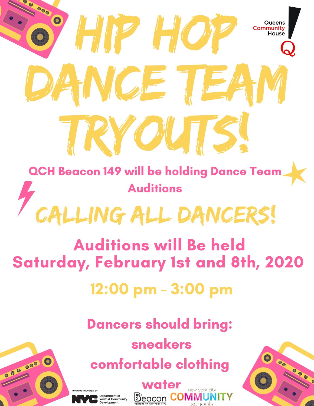# 8 Hip Hop ANGE TEA Tryouts! QCH Beacon 149 will be holding Dance Team

Auditions

## LLING ALL DANCERS!

#### Auditions will Be held Saturday, February 1st and 8th, 2020

#### 12:00 pm - 3:00 pm

#### Dancers should bring:

#### sneakers comfortable clothing



0000



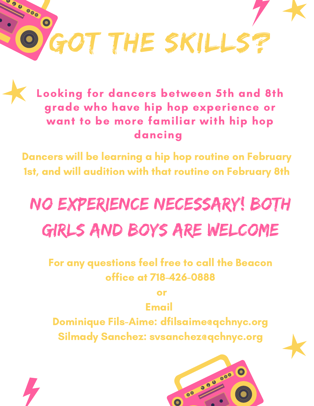

Looking for dancers between 5th and 8th grade who have hip hop experience or want to be more familiar with hip hop dancing

Dancers will be learning a hip hop routine on February 1st, and will audition with that routine on February 8th

### No experience necessary! Both girls and boys are welcome

For any questions feel free to call the Beacon office at 718-426-0888

or

Email

Dominique Fils-Aime: dfilsaime@qchnyc.org Silmady Sanchez: svsanchez@qchnyc.org



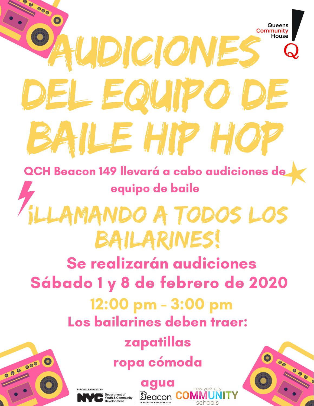#### 8 Queens **AUDICIONES** House del equipo de baile hip hop QCH Beacon 149 llevará a cabo audiciones de equipo de baile MANDO A TODOS LOS bailarines! Se realizarán audiciones Sábado 1 y 8 de febrero de 2020 12:00 pm - 3:00 pm Los bailarines deben traer: zapatillas ropa cómoda 320 000 agua**Beacon CO** Department of<br>Youth & Community